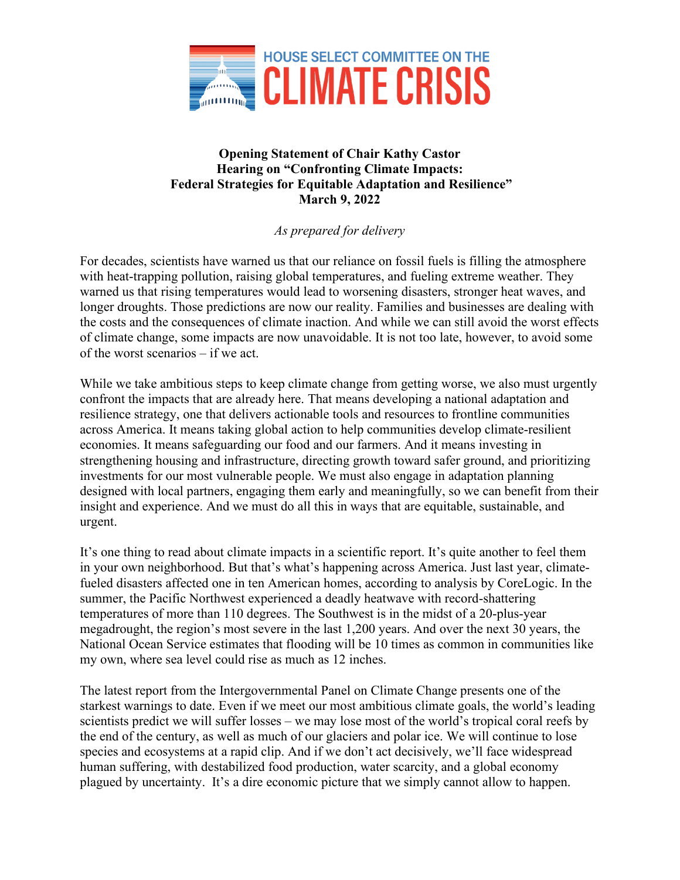

## **Opening Statement of Chair Kathy Castor Hearing on "Confronting Climate Impacts: Federal Strategies for Equitable Adaptation and Resilience" March 9, 2022**

## *As prepared for delivery*

For decades, scientists have warned us that our reliance on fossil fuels is filling the atmosphere with heat-trapping pollution, raising global temperatures, and fueling extreme weather. They warned us that rising temperatures would lead to worsening disasters, stronger heat waves, and longer droughts. Those predictions are now our reality. Families and businesses are dealing with the costs and the consequences of climate inaction. And while we can still avoid the worst effects of climate change, some impacts are now unavoidable. It is not too late, however, to avoid some of the worst scenarios – if we act.

While we take ambitious steps to keep climate change from getting worse, we also must urgently confront the impacts that are already here. That means developing a national adaptation and resilience strategy, one that delivers actionable tools and resources to frontline communities across America. It means taking global action to help communities develop climate-resilient economies. It means safeguarding our food and our farmers. And it means investing in strengthening housing and infrastructure, directing growth toward safer ground, and prioritizing investments for our most vulnerable people. We must also engage in adaptation planning designed with local partners, engaging them early and meaningfully, so we can benefit from their insight and experience. And we must do all this in ways that are equitable, sustainable, and urgent.

It's one thing to read about climate impacts in a scientific report. It's quite another to feel them in your own neighborhood. But that's what's happening across America. Just last year, climatefueled disasters affected one in ten American homes, according to analysis by CoreLogic. In the summer, the Pacific Northwest experienced a deadly heatwave with record-shattering temperatures of more than 110 degrees. The Southwest is in the midst of a 20-plus-year megadrought, the region's most severe in the last 1,200 years. And over the next 30 years, the National Ocean Service estimates that flooding will be 10 times as common in communities like my own, where sea level could rise as much as 12 inches.

The latest report from the Intergovernmental Panel on Climate Change presents one of the starkest warnings to date. Even if we meet our most ambitious climate goals, the world's leading scientists predict we will suffer losses – we may lose most of the world's tropical coral reefs by the end of the century, as well as much of our glaciers and polar ice. We will continue to lose species and ecosystems at a rapid clip. And if we don't act decisively, we'll face widespread human suffering, with destabilized food production, water scarcity, and a global economy plagued by uncertainty. It's a dire economic picture that we simply cannot allow to happen.